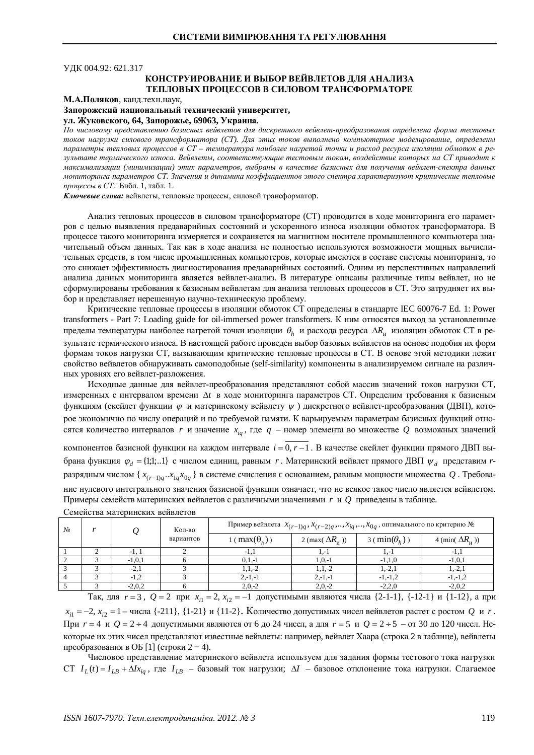УДК 004.92: 621.317

# КОНСТРУИРОВАНИЕ И ВЫБОР ВЕЙВЛЕТОВ ЛЛЯ АНАЛИЗА **ТЕПЛОВЫХ ПРОШЕССОВ В СИЛОВОМ ТРАНСФОРМАТОРЕ**

### М.А.Поляков, канд. техн. наук,

Запорожский национальный технический университет,

### $YJ.$  Жуковского, 64, Запорожье, 69063, Украина.

По числовому представлению базисных вейвлетов для дискретного вейвлет-преобразования определена форма тестовых токов нагрузки силового трансформатора (СТ). Для этих токов выполнено компьютерное моделирование, определены параметры тепловых процессов в CT – температура наиболее нагретой точки и расход ресурса изоляции обмоток в результате термического износа. Вейвлеты, соответствующие тестовым токам, воздействие которых на СТ приводит к максимализации (минимизации) этих параметров, выбраны в качестве базисных для получения вейвлет-спектра данных мониторинга параметров СТ. Значения и динамика коэффициентов этого спектра характеризуют критические тепловые *процессы в СТ. Библ. 1, табл. 1.* 

Ключевые слова: вейвлеты, тепловые процессы, силовой трансформатор.

Анализ тепловых процессов в силовом трансформаторе (СТ) проводится в ходе мониторинга его параметров с целью выявления предаварийных состояний и ускоренного износа изоляции обмоток трансформатора. В процессе такого мониторинга измеряется и сохраняется на магнитном носителе промышленного компьютера значительный объем данных. Так как в ходе анализа не полностью используются возможности мощных вычислительных средств, в том числе промышленных компьютеров, которые имеются в составе системы мониторинга, то это снижает эффективность диагностирования предаварийных состояний. Одним из перспективных направлений анализа данных мониторинга является вейвлет-анализ. В литературе описаны различные типы вейвлет, но не сформулированы требования к базисным вейвлетам для анализа тепловых процессов в СТ. Это затрудняет их выбор и представляет нерешенную научно-техническую проблему.

Критические тепловые процессы в изоляции обмоток СТ определены в стандарте IEC 60076-7 Ed. 1: Power transformers - Part 7: Loading guide for oil-immersed power transformers. К ним относятся выход за установленные пределы температуры наиболее нагретой точки изоляции  $\theta_h$  и расхода ресурса  $\Delta R_u$  изоляции обмоток СТ в результате термического износа. В настояшей работе провелен выбор базовых вейвлетов на основе полобия их форм формам токов нагрузки СТ, вызывающим критические тепловые процессы в СТ. В основе этой методики лежит свойство вейвлетов обнаруживать самоподобные (self-similarity) компоненты в анализируемом сигнале на различных уровнях его вейвлет-разложения.

Исходные данные для вейвлет-преобразования представляют собой массив значений токов нагрузки СТ, измеренных с интервалом времени  $\Delta t$  в ходе мониторинга параметров СТ. Определим требования к базисным функциям (скейлет функции ф и материнскому вейвлету  $\psi$ ) дискретного вейвлет-преобразования (ДВП), которое экономично по числу операций и по требуемой памяти. К варьируемым параметрам базисных функций относятся количество интервалов *r* и значение  $x_{ia}$ , где  $q$  – номер элемента во множестве Q возможных значений

компонентов базисной функции на каждом интервале  $i = 0, r - 1$ . В качестве скейлет функции прямого ДВП выбрана функция  $\varphi_d = \{1;1;...1\}$  с числом единиц, равным *r*. Материнский вейвлет прямого ДВП  $\psi_d$  представим *r*разрядным числом {  $x_{(r-1)q}$   $.x_{1q}x_{0q}$  } в системе счисления с основанием, равным мощности множества  $Q$  . Требование нулевого интегрального значения базисной функции означает, что не всякое такое число является вейвлетом. Примеры семейств материнских вейвлетов с различными значениями *r* и *Q* приведены в таблице.

| N <sub>2</sub> |            | Кол-во<br>вариантов | Пример вейвлета $x_{(r-1)q}$ , $x_{(r-2)q}$ , , $x_{iq}$ , , $x_{0q}$ , оптимального по критерию № |                               |                             |                                    |
|----------------|------------|---------------------|----------------------------------------------------------------------------------------------------|-------------------------------|-----------------------------|------------------------------------|
|                |            |                     | $(\max(\theta_h))$                                                                                 | 2 (max( $\Delta R_{\rm H}$ )) | $3 \text{ (min}(\theta_h))$ | 4 (min( $\Delta R$ <sub>u</sub> )) |
|                | $-1, 1$    |                     | -1.                                                                                                | 1.-1                          | 1.-1                        |                                    |
|                | $-1, 0, 1$ |                     | $0,1,-1$                                                                                           | $1, 0, -1$                    | $-1,1,0$                    | $-1, 0, 1$                         |
|                | $-2.1$     |                     | $1, 1, -2$                                                                                         | $1, 1, -2$                    | $1, -2, 1$                  | $1, -2, 1$                         |
|                |            |                     | $2,-1,-1$                                                                                          | $2,-1,-1$                     | $-1, -1, 2$                 | $-1, -1, 2$                        |
|                | $-2,0,2$   |                     | $2,0,-2$                                                                                           | $2.0 - 2$                     | $-2,2,0$                    | $-2,0,2$                           |

Семейства материнских вейвлетов

Так, для  $r = 3$ ,  $Q = 2$  при  $x_{i1} = 2$ ,  $x_{i2} = -1$  допустимыми являются числа {2-1-1}, {-12-1} и {1-12}, а при  $x_{i1} = -2$ ,  $x_{i2} = 1 - \text{4}$ исла {-211}, {1-21} и {11-2}. Количество допустимых чисел вейвлетов растет с ростом  $Q$  и *r*. При  $r = 4$  и  $Q = 2 \div 4$  допустимыми являются от 6 до 24 чисел, а для  $r = 5$  и  $Q = 2 \div 5$  – от 30 до 120 чисел. Некоторые их этих чисел представляют известные вейвлеты: например, вейвлет Хаара (строка 2 в таблице), вейвлеты преобразования в ОБ [1] (строки  $2 - 4$ ).

Числовое представление материнского вейвлета используем для задания формы тестового тока нагрузки  $CT I_L(t) = I_{LB} + \Delta I_{X_{ia}}$ , где  $I_{LR}$  – базовый ток нагрузки;  $\Delta I$  – базовое отклонение тока нагрузки. Слагаемое